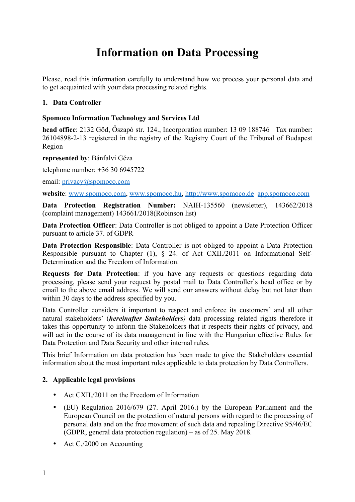# **Information on Data Processing**

Please, read this information carefully to understand how we process your personal data and to get acquainted with your data processing related rights.

#### **1. Data Controller**

## **Spomoco Information Technology and Services Ltd**

**head office**: 2132 Göd, Őszapó str. 124., Incorporation number: 13 09 188746 Tax number: 26104898-2-13 registered in the registry of the Registry Court of the Tribunal of Budapest Region

#### **represented by**: Bánfalvi Géza

telephone number: +36 30 6945722

email: [privacy@spomoco.com](mailto:privacy@spomoco.com)

**website**: [www.spomoco.com](http://www.spomoco.com/), [www.spomoco.hu,](http://www.spomoco.hu/) [http://www.spomoco.de](http://www.spomoco.de/) app.spomoco.com

**Data Protection Registration Number:** NAIH-135560 (newsletter), 143662/2018 (complaint management) 143661/2018(Robinson list)

**Data Protection Officer**: Data Controller is not obliged to appoint a Date Protection Officer pursuant to article 37. of GDPR

**Data Protection Responsible**: Data Controller is not obliged to appoint a Data Protection Responsible pursuant to Chapter (1), § 24. of Act CXII./2011 on Informational Self-Determination and the Freedom of Information.

**Requests for Data Protection**: if you have any requests or questions regarding data processing, please send your request by postal mail to Data Controller's head office or by email to the above email address. We will send our answers without delay but not later than within 30 days to the address specified by you.

Data Controller considers it important to respect and enforce its customers' and all other natural stakeholders' (*hereinafter Stakeholders)* data processing related rights therefore it takes this opportunity to inform the Stakeholders that it respects their rights of privacy, and will act in the course of its data management in line with the Hungarian effective Rules for Data Protection and Data Security and other internal rules.

This brief Information on data protection has been made to give the Stakeholders essential information about the most important rules applicable to data protection by Data Controllers.

## **2. Applicable legal provisions**

- Act CXII/2011 on the Freedom of Information
- · (EU) Regulation 2016/679 (27. April 2016.) by the European Parliament and the European Council on the protection of natural persons with regard to the processing of personal data and on the free movement of such data and repealing Directive 95/46/EC (GDPR, general data protection regulation) – as of 25. May 2018.
- Act C./2000 on Accounting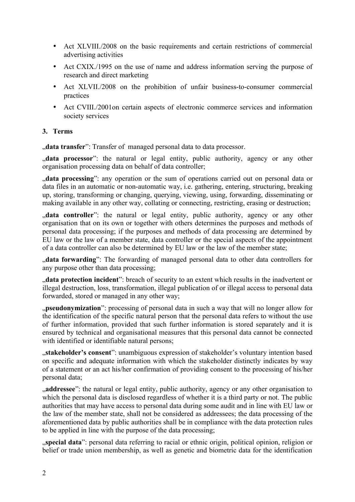- · Act XLVIII./2008 on the basic requirements and certain restrictions of commercial advertising activities
- · Act CXIX./1995 on the use of name and address information serving the purpose of research and direct marketing
- · Act XLVII./2008 on the prohibition of unfair business-to-consumer commercial practices
- · Act CVIII./2001on certain aspects of electronic commerce services and information society services

## **3. Terms**

"data transfer": Transfer of managed personal data to data processor.

", data processor": the natural or legal entity, public authority, agency or any other organisation processing data on behalf of data controller;

data processing": any operation or the sum of operations carried out on personal data or data files in an automatic or non-automatic way, i.e. gathering, entering, structuring, breaking up, storing, transforming or changing, querying, viewing, using, forwarding, disseminating or making available in any other way, collating or connecting, restricting, erasing or destruction;

", data controller": the natural or legal entity, public authority, agency or any other organisation that on its own or together with others determines the purposes and methods of personal data processing; if the purposes and methods of data processing are determined by EU law or the law of a member state, data controller or the special aspects of the appointment of a data controller can also be determined by EU law or the law of the member state;

", data forwarding": The forwarding of managed personal data to other data controllers for any purpose other than data processing;

"**data protection incident**": breach of security to an extent which results in the inadvertent or illegal destruction, loss, transformation, illegal publication of or illegal access to personal data forwarded, stored or managed in any other way;

", pseudonymization": processing of personal data in such a way that will no longer allow for the identification of the specific natural person that the personal data refers to without the use of further information, provided that such further information is stored separately and it is ensured by technical and organisational measures that this personal data cannot be connected with identified or identifiable natural persons;

"**stakeholder's consent**": unambiguous expression of stakeholder's voluntary intention based on specific and adequate information with which the stakeholder distinctly indicates by way of a statement or an act his/her confirmation of providing consent to the processing of his/her personal data;

addressee": the natural or legal entity, public authority, agency or any other organisation to which the personal data is disclosed regardless of whether it is a third party or not. The public authorities that may have access to personal data during some audit and in line with EU law or the law of the member state, shall not be considered as addressees; the data processing of the aforementioned data by public authorities shall be in compliance with the data protection rules to be applied in line with the purpose of the data processing;

"**special data**": personal data referring to racial or ethnic origin, political opinion, religion or belief or trade union membership, as well as genetic and biometric data for the identification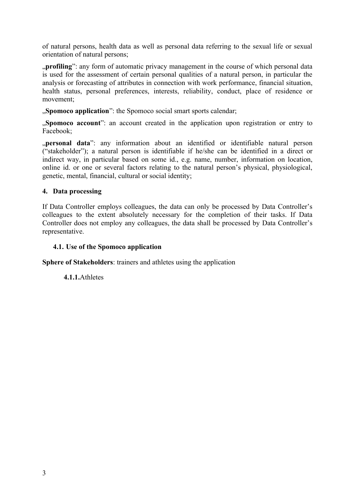of natural persons, health data as well as personal data referring to the sexual life or sexual orientation of natural persons;

"profiling": any form of automatic privacy management in the course of which personal data is used for the assessment of certain personal qualities of a natural person, in particular the analysis or forecasting of attributes in connection with work performance, financial situation, health status, personal preferences, interests, reliability, conduct, place of residence or movement;

**"Spomoco application**": the Spomoco social smart sports calendar;

"**Spomoco account**": an account created in the application upon registration or entry to Facebook;

"**personal data**": any information about an identified or identifiable natural person ("stakeholder"); a natural person is identifiable if he/she can be identified in a direct or indirect way, in particular based on some id., e.g. name, number, information on location, online id. or one or several factors relating to the natural person's physical, physiological, genetic, mental, financial, cultural or social identity;

## **4. Data processing**

If Data Controller employs colleagues, the data can only be processed by Data Controller's colleagues to the extent absolutely necessary for the completion of their tasks. If Data Controller does not employ any colleagues, the data shall be processed by Data Controller's representative.

# **4.1. Use of the Spomoco application**

**Sphere of Stakeholders**: trainers and athletes using the application

**4.1.1.**Athletes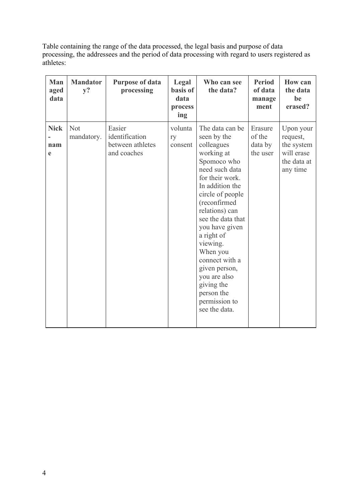Table containing the range of the data processed, the legal basis and purpose of data processing, the addressees and the period of data processing with regard to users registered as athletes:

| Man<br>aged<br>data     | <b>Mandator</b><br>$y$ ? | <b>Purpose of data</b><br>processing                        | Legal<br>basis of<br>data<br>process<br>ing | Who can see<br>the data?                                                                                                                                                                                                                                                                                                                                                              | <b>Period</b><br>of data<br>manage<br>ment | <b>How can</b><br>the data<br>be<br>erased?                                  |
|-------------------------|--------------------------|-------------------------------------------------------------|---------------------------------------------|---------------------------------------------------------------------------------------------------------------------------------------------------------------------------------------------------------------------------------------------------------------------------------------------------------------------------------------------------------------------------------------|--------------------------------------------|------------------------------------------------------------------------------|
| <b>Nick</b><br>nam<br>e | <b>Not</b><br>mandatory. | Easier<br>identification<br>between athletes<br>and coaches | volunta<br>ry<br>consent                    | The data can be<br>seen by the<br>colleagues<br>working at<br>Spomoco who<br>need such data<br>for their work.<br>In addition the<br>circle of people<br>(reconfirmed<br>relations) can<br>see the data that<br>you have given<br>a right of<br>viewing.<br>When you<br>connect with a<br>given person,<br>you are also<br>giving the<br>person the<br>permission to<br>see the data. | Erasure<br>of the<br>data by<br>the user   | Upon your<br>request,<br>the system<br>will erase<br>the data at<br>any time |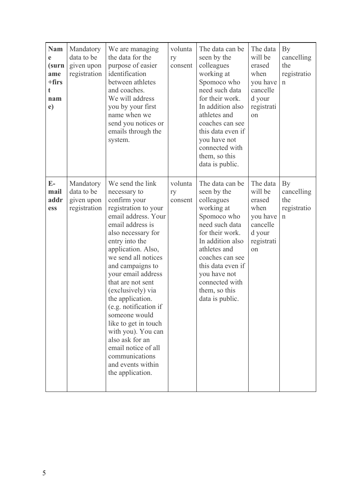| <b>Nam</b><br>e<br>(surn<br>ame<br>$+$ firs<br>t.<br>nam<br>e) | Mandatory<br>data to be<br>given upon<br>registration | We are managing<br>the data for the<br>purpose of easier<br>identification<br>between athletes<br>and coaches.<br>We will address<br>you by your first<br>name when we<br>send you notices or<br>emails through the<br>system.                                                                                                                                                                                                                                                                                | volunta<br>ry<br>consent | The data can be<br>seen by the<br>colleagues<br>working at<br>Spomoco who<br>need such data<br>for their work.<br>In addition also<br>athletes and<br>coaches can see<br>this data even if<br>you have not<br>connected with<br>them, so this<br>data is public. | The data<br>will be<br>erased<br>when<br>you have<br>cancelle<br>d your<br>registrati<br>on | By<br>cancelling<br>the<br>registratio<br>$\mathbf n$ |
|----------------------------------------------------------------|-------------------------------------------------------|---------------------------------------------------------------------------------------------------------------------------------------------------------------------------------------------------------------------------------------------------------------------------------------------------------------------------------------------------------------------------------------------------------------------------------------------------------------------------------------------------------------|--------------------------|------------------------------------------------------------------------------------------------------------------------------------------------------------------------------------------------------------------------------------------------------------------|---------------------------------------------------------------------------------------------|-------------------------------------------------------|
| $E-$<br>mail<br>addr<br>ess                                    | Mandatory<br>data to be<br>given upon<br>registration | We send the link<br>necessary to<br>confirm your<br>registration to your<br>email address. Your<br>email address is<br>also necessary for<br>entry into the<br>application. Also,<br>we send all notices<br>and campaigns to<br>your email address<br>that are not sent<br>(exclusively) via<br>the application.<br>(e.g. notification if<br>someone would<br>like to get in touch<br>with you). You can<br>also ask for an<br>email notice of all<br>communications<br>and events within<br>the application. | volunta<br>ry<br>consent | The data can be<br>seen by the<br>colleagues<br>working at<br>Spomoco who<br>need such data<br>for their work.<br>In addition also<br>athletes and<br>coaches can see<br>this data even if<br>you have not<br>connected with<br>them, so this<br>data is public. | The data<br>will be<br>erased<br>when<br>you have<br>cancelle<br>d your<br>registrati<br>on | By<br>cancelling<br>the<br>registratio<br>$\mathbf n$ |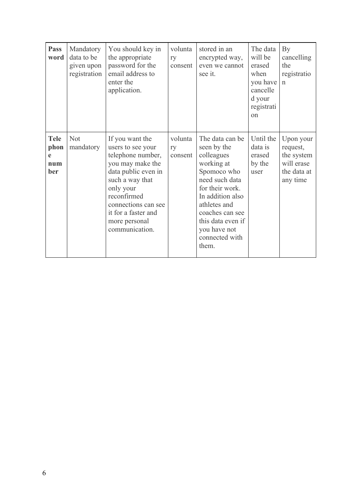| <b>Pass</b><br>word                    | Mandatory<br>data to be<br>given upon<br>registration | You should key in<br>the appropriate<br>password for the<br>email address to<br>enter the<br>application.                                                                                                                            | volunta<br>ry<br>consent | stored in an<br>encrypted way,<br>even we cannot<br>see it.                                                                                                                                                                           | The data<br>will be<br>erased<br>when<br>you have<br>cancelle<br>d your<br>registrati<br>on | By<br>cancelling<br>the<br>registratio<br>$\mathbf n$                        |
|----------------------------------------|-------------------------------------------------------|--------------------------------------------------------------------------------------------------------------------------------------------------------------------------------------------------------------------------------------|--------------------------|---------------------------------------------------------------------------------------------------------------------------------------------------------------------------------------------------------------------------------------|---------------------------------------------------------------------------------------------|------------------------------------------------------------------------------|
| <b>Tele</b><br>phon<br>e<br>num<br>ber | <b>Not</b><br>mandatory                               | If you want the<br>users to see your<br>telephone number,<br>you may make the<br>data public even in<br>such a way that<br>only your<br>reconfirmed<br>connections can see<br>it for a faster and<br>more personal<br>communication. | volunta<br>ry<br>consent | The data can be<br>seen by the<br>colleagues<br>working at<br>Spomoco who<br>need such data<br>for their work.<br>In addition also<br>athletes and<br>coaches can see<br>this data even if<br>you have not<br>connected with<br>them. | Until the<br>data is<br>erased<br>by the<br>user                                            | Upon your<br>request,<br>the system<br>will erase<br>the data at<br>any time |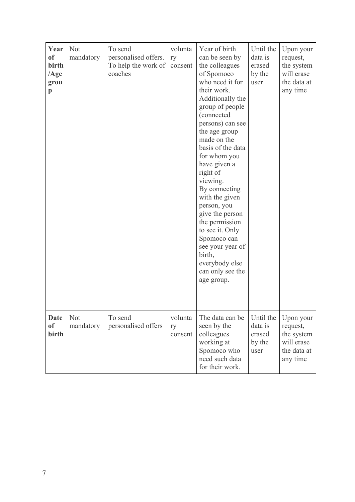| Year<br><sub>of</sub><br>birth<br>$\angle$ Age<br>grou<br>$\mathbf{p}$ | Not<br>mandatory | To send<br>personalised offers.<br>To help the work of<br>coaches | volunta<br>ry<br>consent | Year of birth<br>can be seen by<br>the colleagues<br>of Spomoco<br>who need it for<br>their work.<br>Additionally the<br>group of people<br>(connected<br>persons) can see<br>the age group<br>made on the<br>basis of the data<br>for whom you<br>have given a<br>right of<br>viewing.<br>By connecting<br>with the given<br>person, you<br>give the person<br>the permission<br>to see it. Only<br>Spomoco can<br>see your year of<br>birth,<br>everybody else<br>can only see the<br>age group. | Until the<br>data is<br>erased<br>by the<br>user | Upon your<br>request,<br>the system<br>will erase<br>the data at<br>any time |
|------------------------------------------------------------------------|------------------|-------------------------------------------------------------------|--------------------------|----------------------------------------------------------------------------------------------------------------------------------------------------------------------------------------------------------------------------------------------------------------------------------------------------------------------------------------------------------------------------------------------------------------------------------------------------------------------------------------------------|--------------------------------------------------|------------------------------------------------------------------------------|
| <b>Date</b><br><sub>of</sub><br>birth                                  | Not<br>mandatory | To send<br>personalised offers                                    | volunta<br>ry<br>consent | The data can be<br>seen by the<br>colleagues<br>working at<br>Spomoco who<br>need such data<br>for their work.                                                                                                                                                                                                                                                                                                                                                                                     | Until the<br>data is<br>erased<br>by the<br>user | Upon your<br>request,<br>the system<br>will erase<br>the data at<br>any time |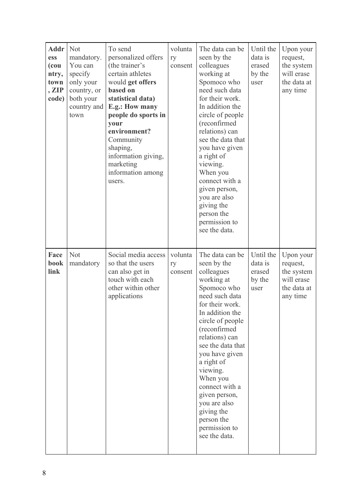| <b>Addr</b><br>ess<br>(cou<br>ntry,<br>town<br>, ZIP<br>code) | Not<br>mandatory.<br>You can<br>specify<br>only your<br>country, or<br>both your<br>country and<br>town | To send<br>personalized offers<br>(the trainer's<br>certain athletes<br>would get offers<br>based on<br>statistical data)<br>E.g.: How many<br>people do sports in<br>your<br>environment?<br>Community<br>shaping,<br>information giving,<br>marketing<br>information among<br>users. | volunta<br>ry<br>consent | The data can be<br>seen by the<br>colleagues<br>working at<br>Spomoco who<br>need such data<br>for their work.<br>In addition the<br>circle of people<br>(reconfirmed<br>relations) can<br>see the data that<br>you have given<br>a right of<br>viewing.<br>When you<br>connect with a<br>given person,<br>you are also<br>giving the<br>person the<br>permission to<br>see the data. | Until the<br>data is<br>erased<br>by the<br>user | Upon your<br>request,<br>the system<br>will erase<br>the data at<br>any time |
|---------------------------------------------------------------|---------------------------------------------------------------------------------------------------------|----------------------------------------------------------------------------------------------------------------------------------------------------------------------------------------------------------------------------------------------------------------------------------------|--------------------------|---------------------------------------------------------------------------------------------------------------------------------------------------------------------------------------------------------------------------------------------------------------------------------------------------------------------------------------------------------------------------------------|--------------------------------------------------|------------------------------------------------------------------------------|
| Face<br>book<br>link                                          | Not<br>mandatory                                                                                        | Social media access<br>so that the users<br>can also get in<br>touch with each<br>other within other<br>applications                                                                                                                                                                   | volunta<br>ry<br>consent | The data can be<br>seen by the<br>colleagues<br>working at<br>Spomoco who<br>need such data<br>for their work.<br>In addition the<br>circle of people<br>(reconfirmed<br>relations) can<br>see the data that<br>you have given<br>a right of<br>viewing.<br>When you<br>connect with a<br>given person,<br>you are also<br>giving the<br>person the<br>permission to<br>see the data. | Until the<br>data is<br>erased<br>by the<br>user | Upon your<br>request,<br>the system<br>will erase<br>the data at<br>any time |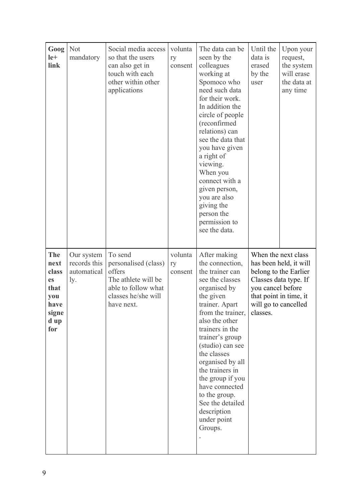| Goog<br>$le+$<br>link                                                                   | <b>Not</b><br>mandatory                          | Social media access<br>so that the users<br>can also get in<br>touch with each<br>other within other<br>applications         | volunta<br>ry<br>consent | The data can be<br>seen by the<br>colleagues<br>working at<br>Spomoco who<br>need such data<br>for their work.<br>In addition the<br>circle of people<br>(reconfirmed<br>relations) can<br>see the data that<br>you have given<br>a right of<br>viewing.<br>When you<br>connect with a<br>given person,<br>you are also<br>giving the<br>person the<br>permission to<br>see the data.           | Until the<br>data is<br>erased<br>by the<br>user                                | Upon your<br>request,<br>the system<br>will erase<br>the data at<br>any time                    |
|-----------------------------------------------------------------------------------------|--------------------------------------------------|------------------------------------------------------------------------------------------------------------------------------|--------------------------|-------------------------------------------------------------------------------------------------------------------------------------------------------------------------------------------------------------------------------------------------------------------------------------------------------------------------------------------------------------------------------------------------|---------------------------------------------------------------------------------|-------------------------------------------------------------------------------------------------|
| <b>The</b><br>next<br>class<br><b>es</b><br>that<br>you<br>have<br>signe<br>d up<br>for | Our system<br>records this<br>automatical<br>ly. | To send<br>personalised (class)<br>offers<br>The athlete will be<br>able to follow what<br>classes he/she will<br>have next. | volunta<br>ry<br>consent | After making<br>the connection,<br>the trainer can<br>see the classes<br>organised by<br>the given<br>trainer. Apart<br>from the trainer,<br>also the other<br>trainers in the<br>trainer's group<br>(studio) can see<br>the classes<br>organised by all<br>the trainers in<br>the group if you<br>have connected<br>to the group.<br>See the detailed<br>description<br>under point<br>Groups. | you cancel before<br>that point in time, it<br>will go to cancelled<br>classes. | When the next class<br>has been held, it will<br>belong to the Earlier<br>Classes data type. If |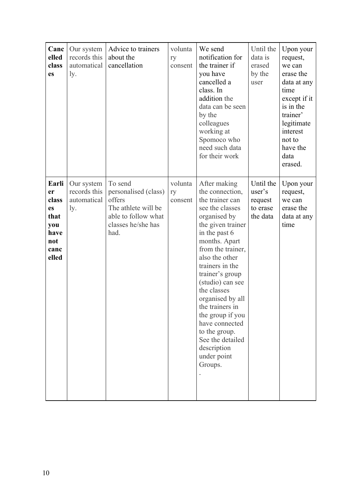| Canc<br>elled<br>class<br>es                                              | Our system<br>records this<br>automatical<br>ly. | Advice to trainers<br>about the<br>cancellation                                                                       | volunta<br>ry<br>consent | We send<br>notification for<br>the trainer if<br>you have<br>cancelled a<br>class. In<br>addition the<br>data can be seen<br>by the<br>colleagues<br>working at<br>Spomoco who<br>need such data<br>for their work                                                                                                                                                                                                      | Until the<br>data is<br>erased<br>by the<br>user       | Upon your<br>request,<br>we can<br>erase the<br>data at any<br>time<br>except if it<br>is in the<br>trainer'<br>legitimate<br>interest<br>not to<br>have the<br>data<br>erased. |
|---------------------------------------------------------------------------|--------------------------------------------------|-----------------------------------------------------------------------------------------------------------------------|--------------------------|-------------------------------------------------------------------------------------------------------------------------------------------------------------------------------------------------------------------------------------------------------------------------------------------------------------------------------------------------------------------------------------------------------------------------|--------------------------------------------------------|---------------------------------------------------------------------------------------------------------------------------------------------------------------------------------|
| Earli<br>er<br>class<br>es<br>that<br>you<br>have<br>not<br>canc<br>elled | Our system<br>records this<br>automatical<br>ly. | To send<br>personalised (class)<br>offers<br>The athlete will be<br>able to follow what<br>classes he/she has<br>had. | volunta<br>ry<br>consent | After making<br>the connection,<br>the trainer can<br>see the classes<br>organised by<br>the given trainer<br>in the past 6<br>months. Apart<br>from the trainer,<br>also the other<br>trainers in the<br>trainer's group<br>(studio) can see<br>the classes<br>organised by all<br>the trainers in<br>the group if you<br>have connected<br>to the group.<br>See the detailed<br>description<br>under point<br>Groups. | Until the<br>user's<br>request<br>to erase<br>the data | Upon your<br>request,<br>we can<br>erase the<br>data at any<br>time                                                                                                             |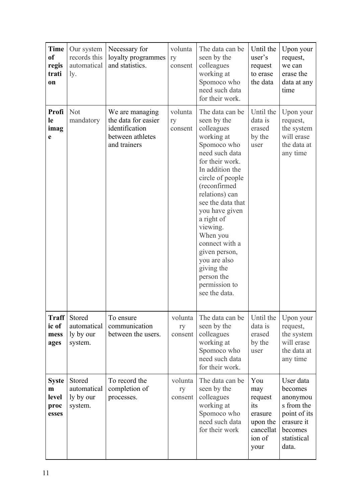| <b>Time</b><br><sub>of</sub><br>regis<br>trati<br>on | Our system<br>records this<br>automatical<br>ly. | Necessary for<br>loyalty programmes<br>and statistics.                                       | volunta<br>ry<br>consent | The data can be<br>seen by the<br>colleagues<br>working at<br>Spomoco who<br>need such data<br>for their work.                                                                                                                                                                                                                                                                        | Until the<br>user's<br>request<br>to erase<br>the data                             | Upon your<br>request,<br>we can<br>erase the<br>data at any<br>time                                             |
|------------------------------------------------------|--------------------------------------------------|----------------------------------------------------------------------------------------------|--------------------------|---------------------------------------------------------------------------------------------------------------------------------------------------------------------------------------------------------------------------------------------------------------------------------------------------------------------------------------------------------------------------------------|------------------------------------------------------------------------------------|-----------------------------------------------------------------------------------------------------------------|
| Profi<br>le<br>imag<br>e                             | <b>Not</b><br>mandatory                          | We are managing<br>the data for easier<br>identification<br>between athletes<br>and trainers | volunta<br>ry<br>consent | The data can be<br>seen by the<br>colleagues<br>working at<br>Spomoco who<br>need such data<br>for their work.<br>In addition the<br>circle of people<br>(reconfirmed<br>relations) can<br>see the data that<br>you have given<br>a right of<br>viewing.<br>When you<br>connect with a<br>given person,<br>you are also<br>giving the<br>person the<br>permission to<br>see the data. | Until the<br>data is<br>erased<br>by the<br>user                                   | Upon your<br>request,<br>the system<br>will erase<br>the data at<br>any time                                    |
| <b>Traff</b><br>ic of<br>mess<br>ages                | Stored<br>automatical<br>ly by our<br>system.    | To ensure<br>communication<br>between the users.                                             | volunta<br>ry<br>consent | The data can be<br>seen by the<br>colleagues<br>working at<br>Spomoco who<br>need such data<br>for their work.                                                                                                                                                                                                                                                                        | Until the<br>data is<br>erased<br>by the<br>user                                   | Upon your<br>request,<br>the system<br>will erase<br>the data at<br>any time                                    |
| <b>Syste</b><br>m<br>level<br>proc<br>esses          | Stored<br>automatical<br>ly by our<br>system.    | To record the<br>completion of<br>processes.                                                 | volunta<br>ry<br>consent | The data can be<br>seen by the<br>colleagues<br>working at<br>Spomoco who<br>need such data<br>for their work                                                                                                                                                                                                                                                                         | You<br>may<br>request<br>its<br>erasure<br>upon the<br>cancellat<br>ion of<br>your | User data<br>becomes<br>anonymou<br>s from the<br>point of its<br>erasure it<br>becomes<br>statistical<br>data. |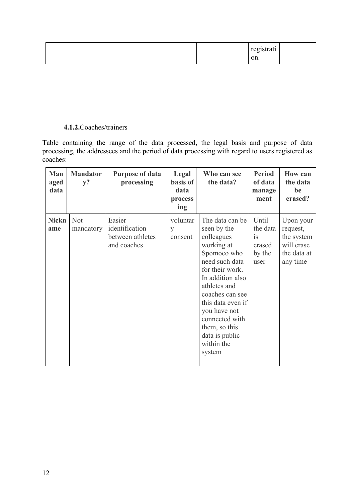|  |  | registrati |  |
|--|--|------------|--|
|  |  | on.        |  |

# **4.1.2.**Coaches/trainers

Table containing the range of the data processed, the legal basis and purpose of data processing, the addressees and the period of data processing with regard to users registered as coaches:

| Man<br>aged<br>data | <b>Mandator</b><br>$y$ ? | <b>Purpose of data</b><br>processing                        | Legal<br>basis of<br>data<br>process<br>ing | Who can see<br>the data?                                                                                                                                                                                                                                                                | <b>Period</b><br>of data<br>manage<br>ment                 | <b>How can</b><br>the data<br>be<br>erased?                                  |
|---------------------|--------------------------|-------------------------------------------------------------|---------------------------------------------|-----------------------------------------------------------------------------------------------------------------------------------------------------------------------------------------------------------------------------------------------------------------------------------------|------------------------------------------------------------|------------------------------------------------------------------------------|
| <b>Nickn</b><br>ame | <b>Not</b><br>mandatory  | Easier<br>identification<br>between athletes<br>and coaches | voluntar<br>y<br>consent                    | The data can be<br>seen by the<br>colleagues<br>working at<br>Spomoco who<br>need such data<br>for their work.<br>In addition also<br>athletes and<br>coaches can see<br>this data even if<br>you have not<br>connected with<br>them, so this<br>data is public<br>within the<br>system | Until<br>the data<br><b>1S</b><br>erased<br>by the<br>user | Upon your<br>request,<br>the system<br>will erase<br>the data at<br>any time |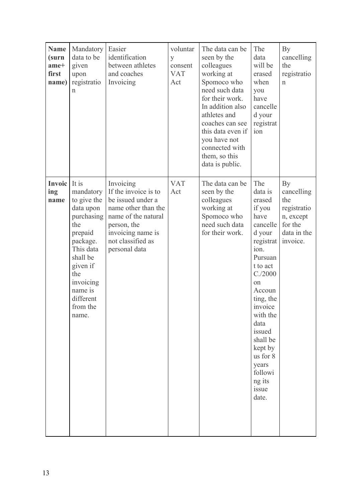| <b>Name</b><br>(surn<br>ame+<br>first<br>name) | Mandatory<br>data to be<br>given<br>upon<br>registratio<br>n                                                                                                                                     | Easier<br>identification<br>between athletes<br>and coaches<br>Invoicing                                                                                                       | voluntar<br>y<br>consent<br><b>VAT</b><br>Act | The data can be<br>seen by the<br>colleagues<br>working at<br>Spomoco who<br>need such data<br>for their work.<br>In addition also<br>athletes and<br>coaches can see<br>this data even if<br>you have not<br>connected with<br>them, so this<br>data is public. | The<br>data<br>will be<br>erased<br>when<br>you<br>have<br>cancelle<br>d your<br>registrat<br>ion                                                                                                                                                                                                | By<br>cancelling<br>the<br>registratio<br>$\mathbf n$                                     |
|------------------------------------------------|--------------------------------------------------------------------------------------------------------------------------------------------------------------------------------------------------|--------------------------------------------------------------------------------------------------------------------------------------------------------------------------------|-----------------------------------------------|------------------------------------------------------------------------------------------------------------------------------------------------------------------------------------------------------------------------------------------------------------------|--------------------------------------------------------------------------------------------------------------------------------------------------------------------------------------------------------------------------------------------------------------------------------------------------|-------------------------------------------------------------------------------------------|
| <b>Invoic</b><br>ing<br>name                   | It is<br>mandatory<br>to give the<br>data upon<br>purchasing<br>the<br>prepaid<br>package.<br>This data<br>shall be<br>given if<br>the<br>invoicing<br>name is<br>different<br>from the<br>name. | Invoicing<br>If the invoice is to<br>be issued under a<br>name other than the<br>name of the natural<br>person, the<br>invoicing name is<br>not classified as<br>personal data | <b>VAT</b><br>Act                             | The data can be<br>seen by the<br>colleagues<br>working at<br>Spomoco who<br>need such data<br>for their work.                                                                                                                                                   | The<br>data is<br>erased<br>if you<br>have<br>cancelle<br>d your<br>registrat<br>ion.<br>Pursuan<br>t to act<br>$C_{.}/2000$<br><sub>on</sub><br>Accoun<br>ting, the<br>invoice<br>with the<br>data<br>issued<br>shall be<br>kept by<br>us for 8<br>years<br>followi<br>ng its<br>issue<br>date. | By<br>cancelling<br>the<br>registratio<br>n, except<br>for the<br>data in the<br>invoice. |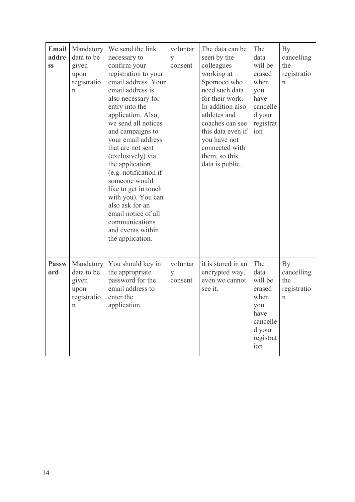| <b>Email</b><br>addre<br><b>SS</b> | Mandatory<br>data to be<br>given<br>upon<br>registratio<br>n           | We send the link<br>necessary to<br>confirm your<br>registration to your<br>email address. Your<br>email address is<br>also necessary for<br>entry into the<br>application. Also,<br>we send all notices<br>and campaigns to<br>your email address<br>that are not sent<br>(exclusively) via<br>the application.<br>(e.g. notification if<br>someone would<br>like to get in touch<br>with you). You can<br>also ask for an<br>email notice of all<br>communications<br>and events within<br>the application. | voluntar<br>y<br>consent | The data can be<br>seen by the<br>colleagues<br>working at<br>Spomoco who<br>need such data<br>for their work.<br>In addition also<br>athletes and<br>coaches can see<br>this data even if<br>you have not<br>connected with<br>them, so this<br>data is public. | The<br>data<br>will be<br>erased<br>when<br>you<br>have<br>cancelle<br>d your<br>registrat<br>ion | By<br>cancelling<br>the<br>registratio<br>$\mathbf n$ |
|------------------------------------|------------------------------------------------------------------------|---------------------------------------------------------------------------------------------------------------------------------------------------------------------------------------------------------------------------------------------------------------------------------------------------------------------------------------------------------------------------------------------------------------------------------------------------------------------------------------------------------------|--------------------------|------------------------------------------------------------------------------------------------------------------------------------------------------------------------------------------------------------------------------------------------------------------|---------------------------------------------------------------------------------------------------|-------------------------------------------------------|
| <b>Passw</b><br>ord                | Mandatory<br>data to be<br>given<br>upon<br>registratio<br>$\mathbf n$ | You should key in<br>the appropriate<br>password for the<br>email address to<br>enter the<br>application.                                                                                                                                                                                                                                                                                                                                                                                                     | voluntar<br>y<br>consent | it is stored in an<br>encrypted way,<br>even we cannot<br>see it.                                                                                                                                                                                                | The<br>data<br>will be<br>erased<br>when<br>you<br>have<br>cancelle<br>d your<br>registrat<br>ion | By<br>cancelling<br>the<br>registratio<br>$\mathbf n$ |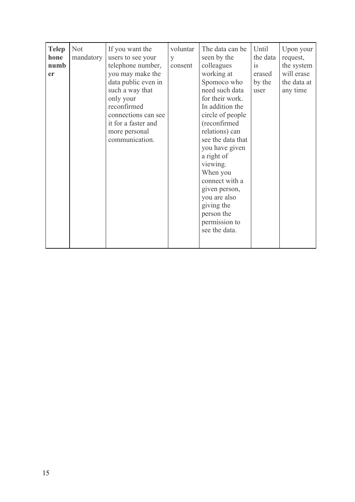| hone<br>mandatory<br>seen by the<br>the data<br>users to see your<br>request,<br>y<br>telephone number,<br>colleagues<br>the system<br>numb<br>consent<br><b>1S</b><br>working at<br>will erase<br>you may make the<br>erased<br><b>er</b><br>Spomoco who<br>data public even in<br>the data at<br>by the<br>need such data<br>such a way that<br>any time<br>user<br>for their work.<br>only your<br>In addition the<br>reconfirmed<br>connections can see<br>circle of people<br>it for a faster and<br>(reconfirmed<br>relations) can<br>more personal<br>see the data that<br>communication.<br>you have given<br>a right of<br>viewing.<br>When you<br>connect with a<br>given person,<br>you are also<br>giving the<br>person the<br>permission to<br>see the data. |
|---------------------------------------------------------------------------------------------------------------------------------------------------------------------------------------------------------------------------------------------------------------------------------------------------------------------------------------------------------------------------------------------------------------------------------------------------------------------------------------------------------------------------------------------------------------------------------------------------------------------------------------------------------------------------------------------------------------------------------------------------------------------------|
|---------------------------------------------------------------------------------------------------------------------------------------------------------------------------------------------------------------------------------------------------------------------------------------------------------------------------------------------------------------------------------------------------------------------------------------------------------------------------------------------------------------------------------------------------------------------------------------------------------------------------------------------------------------------------------------------------------------------------------------------------------------------------|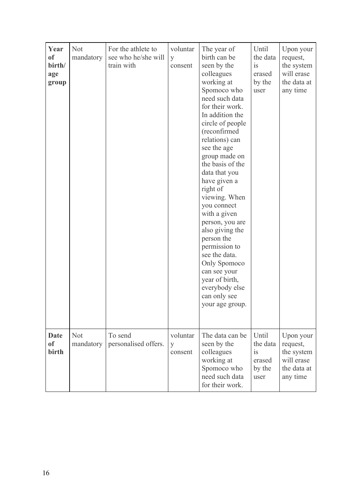| Year<br><sub>of</sub><br>birth/<br>age<br>group | <b>Not</b><br>mandatory | For the athlete to<br>see who he/she will<br>train with | voluntar<br>y<br>consent | The year of<br>birth can be<br>seen by the<br>colleagues<br>working at<br>Spomoco who<br>need such data<br>for their work.<br>In addition the<br>circle of people<br>(reconfirmed<br>relations) can<br>see the age<br>group made on<br>the basis of the<br>data that you<br>have given a<br>right of<br>viewing. When<br>you connect<br>with a given<br>person, you are<br>also giving the<br>person the<br>permission to<br>see the data.<br>Only Spomoco<br>can see your<br>year of birth,<br>everybody else<br>can only see<br>your age group. | Until<br>the data<br>is<br>erased<br>by the<br>user | Upon your<br>request,<br>the system<br>will erase<br>the data at<br>any time |
|-------------------------------------------------|-------------------------|---------------------------------------------------------|--------------------------|---------------------------------------------------------------------------------------------------------------------------------------------------------------------------------------------------------------------------------------------------------------------------------------------------------------------------------------------------------------------------------------------------------------------------------------------------------------------------------------------------------------------------------------------------|-----------------------------------------------------|------------------------------------------------------------------------------|
| <b>Date</b><br><sub>of</sub><br>birth           | <b>Not</b><br>mandatory | To send<br>personalised offers.                         | voluntar<br>y<br>consent | The data can be<br>seen by the<br>colleagues<br>working at<br>Spomoco who<br>need such data<br>for their work.                                                                                                                                                                                                                                                                                                                                                                                                                                    | Until<br>the data<br>is<br>erased<br>by the<br>user | Upon your<br>request,<br>the system<br>will erase<br>the data at<br>any time |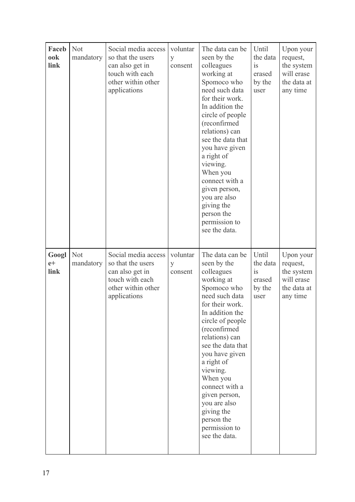| Faceb<br>ook<br>link  | <b>Not</b><br>mandatory | Social media access<br>so that the users<br>can also get in<br>touch with each<br>other within other<br>applications | voluntar<br>y<br>consent | The data can be<br>seen by the<br>colleagues<br>working at<br>Spomoco who<br>need such data<br>for their work.<br>In addition the<br>circle of people<br>(reconfirmed<br>relations) can<br>see the data that<br>you have given<br>a right of<br>viewing.<br>When you<br>connect with a<br>given person,<br>you are also<br>giving the<br>person the<br>permission to<br>see the data. | Until<br>the data<br>is<br>erased<br>by the<br>user | Upon your<br>request,<br>the system<br>will erase<br>the data at<br>any time |
|-----------------------|-------------------------|----------------------------------------------------------------------------------------------------------------------|--------------------------|---------------------------------------------------------------------------------------------------------------------------------------------------------------------------------------------------------------------------------------------------------------------------------------------------------------------------------------------------------------------------------------|-----------------------------------------------------|------------------------------------------------------------------------------|
| Googl<br>$e+$<br>link | <b>Not</b><br>mandatory | Social media access<br>so that the users<br>can also get in<br>touch with each<br>other within other<br>applications | voluntar<br>y<br>consent | The data can be<br>seen by the<br>colleagues<br>working at<br>Spomoco who<br>need such data<br>for their work.<br>In addition the<br>circle of people<br>(reconfirmed<br>relations) can<br>see the data that<br>you have given<br>a right of<br>viewing.<br>When you<br>connect with a<br>given person,<br>you are also<br>giving the<br>person the<br>permission to<br>see the data. | Until<br>the data<br>is<br>erased<br>by the<br>user | Upon your<br>request,<br>the system<br>will erase<br>the data at<br>any time |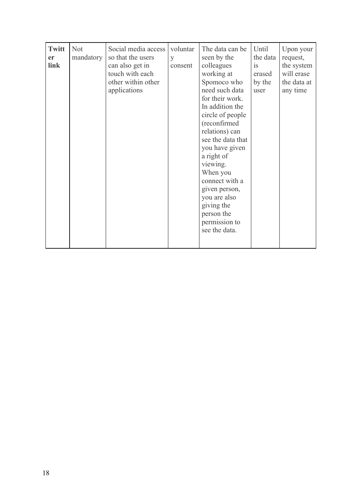| Until<br><b>Twitt</b><br><b>Not</b><br>Social media access<br>voluntar<br>The data can be<br>mandatory<br>so that the users<br>seen by the<br>the data<br><sub>er</sub><br>y<br>colleagues<br>link<br>can also get in<br>consent<br>is<br>touch with each<br>working at<br>erased<br>other within other<br>Spomoco who<br>by the<br>need such data<br>applications<br>user<br>for their work.<br>In addition the<br>circle of people<br>(reconfirmed<br>relations) can<br>see the data that<br>you have given<br>a right of<br>viewing.<br>When you<br>connect with a<br>given person,<br>you are also<br>giving the<br>person the<br>permission to<br>see the data. | Upon your<br>request,<br>the system<br>will erase<br>the data at<br>any time |
|----------------------------------------------------------------------------------------------------------------------------------------------------------------------------------------------------------------------------------------------------------------------------------------------------------------------------------------------------------------------------------------------------------------------------------------------------------------------------------------------------------------------------------------------------------------------------------------------------------------------------------------------------------------------|------------------------------------------------------------------------------|
|----------------------------------------------------------------------------------------------------------------------------------------------------------------------------------------------------------------------------------------------------------------------------------------------------------------------------------------------------------------------------------------------------------------------------------------------------------------------------------------------------------------------------------------------------------------------------------------------------------------------------------------------------------------------|------------------------------------------------------------------------------|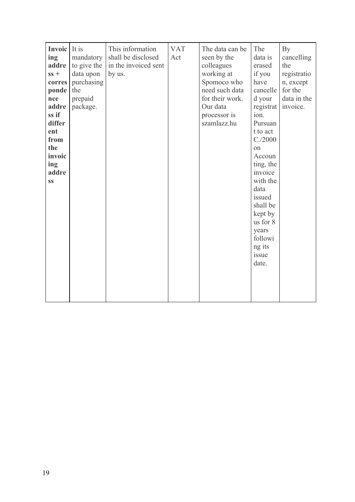| <b>Invoic</b> It is<br>ing<br>addre<br>$ss +$<br>corres  <br><b>ponde</b> the<br>nce<br>addre<br>ss if<br>differ<br>ent<br>from<br>the<br>invoic<br>ing<br>addre<br>SS | mandatory<br>to give the<br>data upon<br>purchasing<br>prepaid<br>package. | This information<br>shall be disclosed<br>in the invoiced sent<br>by us. | <b>VAT</b><br>Act | The data can be<br>seen by the<br>colleagues<br>working at<br>Spomoco who<br>need such data<br>for their work.<br>Our data<br>processor is<br>szamlazz.hu | The<br>data is<br>erased<br>if you<br>have<br>cancelle<br>d your<br>registrat<br>ion.<br>Pursuan<br>t to act<br>C./2000<br>on<br>Accoun<br>ting, the<br>invoice<br>with the<br>data<br>issued<br>shall be<br>kept by<br>us for 8<br>years<br>followi<br>ng its<br>issue<br>date. | By<br>cancelling<br>the<br>registratio<br>n, except<br>for the<br>data in the<br>invoice. |
|------------------------------------------------------------------------------------------------------------------------------------------------------------------------|----------------------------------------------------------------------------|--------------------------------------------------------------------------|-------------------|-----------------------------------------------------------------------------------------------------------------------------------------------------------|----------------------------------------------------------------------------------------------------------------------------------------------------------------------------------------------------------------------------------------------------------------------------------|-------------------------------------------------------------------------------------------|
|------------------------------------------------------------------------------------------------------------------------------------------------------------------------|----------------------------------------------------------------------------|--------------------------------------------------------------------------|-------------------|-----------------------------------------------------------------------------------------------------------------------------------------------------------|----------------------------------------------------------------------------------------------------------------------------------------------------------------------------------------------------------------------------------------------------------------------------------|-------------------------------------------------------------------------------------------|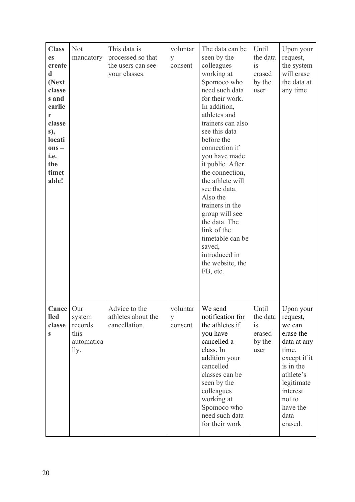| <b>Class</b><br>es<br>create<br>d<br>(Next<br>classe<br>s and<br>earlie<br>r<br>classe<br>s),<br>locati<br>$ons -$<br>i.e.<br>the<br>timet<br>able! | <b>Not</b><br>mandatory                         | This data is<br>processed so that<br>the users can see<br>your classes. | voluntar<br>y<br>consent           | The data can be<br>seen by the<br>colleagues<br>working at<br>Spomoco who<br>need such data<br>for their work.<br>In addition,<br>athletes and<br>trainers can also<br>see this data<br>before the<br>connection if<br>you have made<br>it public. After<br>the connection,<br>the athlete will<br>see the data.<br>Also the<br>trainers in the<br>group will see<br>the data. The<br>link of the<br>timetable can be<br>saved,<br>introduced in<br>the website, the<br>FB, etc. | Until<br>the data<br>is<br>erased<br>by the<br>user | Upon your<br>request,<br>the system<br>will erase<br>the data at<br>any time                                                                                                      |
|-----------------------------------------------------------------------------------------------------------------------------------------------------|-------------------------------------------------|-------------------------------------------------------------------------|------------------------------------|----------------------------------------------------------------------------------------------------------------------------------------------------------------------------------------------------------------------------------------------------------------------------------------------------------------------------------------------------------------------------------------------------------------------------------------------------------------------------------|-----------------------------------------------------|-----------------------------------------------------------------------------------------------------------------------------------------------------------------------------------|
| <b>Cance</b> $\vert$ Our<br><b>lled</b><br>classe<br>S                                                                                              | system<br>records<br>this<br>automatica<br>lly. | Advice to the<br>athletes about the<br>cancellation.                    | voluntar   We send<br>y<br>consent | notification for<br>the athletes if<br>you have<br>cancelled a<br>class. In<br>addition your<br>cancelled<br>classes can be<br>seen by the<br>colleagues<br>working at<br>Spomoco who<br>need such data<br>for their work                                                                                                                                                                                                                                                        | Until<br>the data<br>is<br>erased<br>by the<br>user | Upon your<br>request,<br>we can<br>erase the<br>data at any<br>time,<br>except if it<br>is in the<br>athlete's<br>legitimate<br>interest<br>not to<br>have the<br>data<br>erased. |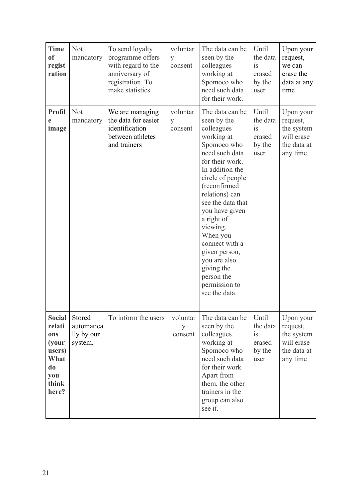| <b>Time</b><br><sub>of</sub><br>regist<br>ration                                         | <b>Not</b><br>mandatory                       | To send loyalty<br>programme offers<br>with regard to the<br>anniversary of<br>registration. To<br>make statistics. | voluntar<br>y<br>consent | The data can be<br>seen by the<br>colleagues<br>working at<br>Spomoco who<br>need such data<br>for their work.                                                                                                                                                                                                                                                                        | Until<br>the data<br>is<br>erased<br>by the<br>user | Upon your<br>request,<br>we can<br>erase the<br>data at any<br>time          |
|------------------------------------------------------------------------------------------|-----------------------------------------------|---------------------------------------------------------------------------------------------------------------------|--------------------------|---------------------------------------------------------------------------------------------------------------------------------------------------------------------------------------------------------------------------------------------------------------------------------------------------------------------------------------------------------------------------------------|-----------------------------------------------------|------------------------------------------------------------------------------|
| <b>Profil</b><br>e<br>image                                                              | <b>Not</b><br>mandatory                       | We are managing<br>the data for easier<br>identification<br>between athletes<br>and trainers                        | voluntar<br>y<br>consent | The data can be<br>seen by the<br>colleagues<br>working at<br>Spomoco who<br>need such data<br>for their work.<br>In addition the<br>circle of people<br>(reconfirmed<br>relations) can<br>see the data that<br>you have given<br>a right of<br>viewing.<br>When you<br>connect with a<br>given person,<br>you are also<br>giving the<br>person the<br>permission to<br>see the data. | Until<br>the data<br>1S<br>erased<br>by the<br>user | Upon your<br>request,<br>the system<br>will erase<br>the data at<br>any time |
| <b>Social</b><br>relati<br>ons<br>(your<br>users)<br>What<br>do<br>you<br>think<br>here? | Stored<br>automatica<br>lly by our<br>system. | To inform the users                                                                                                 | voluntar<br>y<br>consent | The data can be<br>seen by the<br>colleagues<br>working at<br>Spomoco who<br>need such data<br>for their work<br>Apart from<br>them, the other<br>trainers in the<br>group can also<br>see it.                                                                                                                                                                                        | Until<br>the data<br>is<br>erased<br>by the<br>user | Upon your<br>request,<br>the system<br>will erase<br>the data at<br>any time |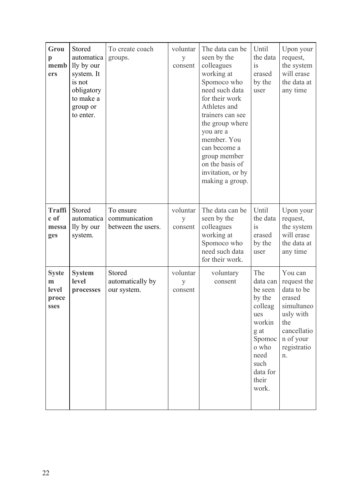| Grou<br>$\mathbf{p}$<br>memb<br>ers         | Stored<br>automatica<br>lly by our<br>system. It<br>is not<br>obligatory<br>to make a<br>group or<br>to enter. | To create coach<br>groups.                       | voluntar<br>y<br>consent | The data can be<br>seen by the<br>colleagues<br>working at<br>Spomoco who<br>need such data<br>for their work<br>Athletes and<br>trainers can see<br>the group where<br>you are a<br>member. You<br>can become a<br>group member<br>on the basis of<br>invitation, or by<br>making a group. | Until<br>the data<br>is<br>erased<br>by the<br>user                                                                                       | Upon your<br>request,<br>the system<br>will erase<br>the data at<br>any time                                                      |
|---------------------------------------------|----------------------------------------------------------------------------------------------------------------|--------------------------------------------------|--------------------------|---------------------------------------------------------------------------------------------------------------------------------------------------------------------------------------------------------------------------------------------------------------------------------------------|-------------------------------------------------------------------------------------------------------------------------------------------|-----------------------------------------------------------------------------------------------------------------------------------|
| <b>Traffi</b><br>c of<br>messa<br>ges       | Stored<br>automatica<br>lly by our<br>system.                                                                  | To ensure<br>communication<br>between the users. | voluntar<br>y<br>consent | The data can be<br>seen by the<br>colleagues<br>working at<br>Spomoco who<br>need such data<br>for their work.                                                                                                                                                                              | Until<br>the data<br>is<br>erased<br>by the<br>user                                                                                       | Upon your<br>request,<br>the system<br>will erase<br>the data at<br>any time                                                      |
| <b>Syste</b><br>m<br>level<br>proce<br>sses | <b>System</b><br>level<br>processes                                                                            | Stored<br>automatically by<br>our system.        | voluntar<br>y<br>consent | voluntary<br>consent                                                                                                                                                                                                                                                                        | The<br>data can<br>be seen<br>by the<br>colleag<br>ues<br>workin<br>g at<br>Spomoc<br>o who<br>need<br>such<br>data for<br>their<br>work. | You can<br>request the<br>data to be<br>erased<br>simultaneo<br>usly with<br>the<br>cancellatio<br>n of your<br>registratio<br>n. |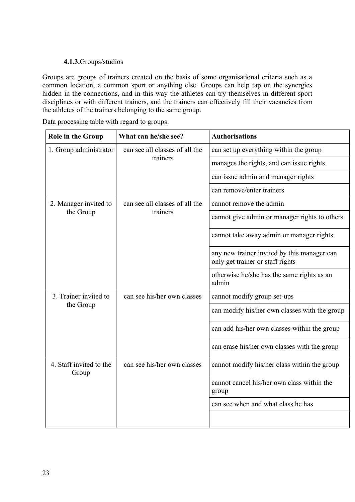# **4.1.3.**Groups/studios

Groups are groups of trainers created on the basis of some organisational criteria such as a common location, a common sport or anything else. Groups can help tap on the synergies hidden in the connections, and in this way the athletes can try themselves in different sport disciplines or with different trainers, and the trainers can effectively fill their vacancies from the athletes of the trainers belonging to the same group.

Data processing table with regard to groups:

| <b>Role in the Group</b>         | What can he/she see?           | <b>Authorisations</b>                                                           |
|----------------------------------|--------------------------------|---------------------------------------------------------------------------------|
| 1. Group administrator           | can see all classes of all the | can set up everything within the group                                          |
|                                  | trainers                       | manages the rights, and can issue rights                                        |
|                                  |                                | can issue admin and manager rights                                              |
|                                  |                                | can remove/enter trainers                                                       |
| 2. Manager invited to            | can see all classes of all the | cannot remove the admin                                                         |
| the Group                        | trainers                       | cannot give admin or manager rights to others                                   |
|                                  |                                | cannot take away admin or manager rights                                        |
|                                  |                                | any new trainer invited by this manager can<br>only get trainer or staff rights |
|                                  |                                | otherwise he/she has the same rights as an<br>admin                             |
| 3. Trainer invited to            | can see his/her own classes    | cannot modify group set-ups                                                     |
| the Group                        |                                | can modify his/her own classes with the group                                   |
|                                  |                                | can add his/her own classes within the group                                    |
|                                  |                                | can erase his/her own classes with the group                                    |
| 4. Staff invited to the<br>Group | can see his/her own classes    | cannot modify his/her class within the group                                    |
|                                  |                                | cannot cancel his/her own class within the<br>group                             |
|                                  |                                | can see when and what class he has                                              |
|                                  |                                |                                                                                 |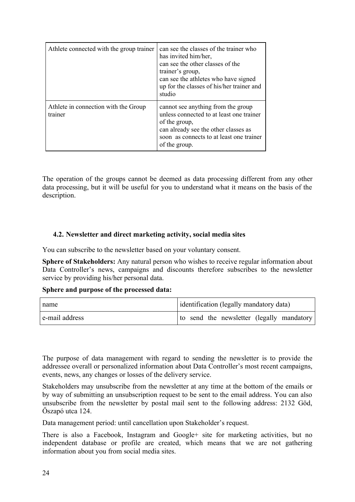| Athlete connected with the group trainer        | can see the classes of the trainer who<br>has invited him/her.<br>can see the other classes of the<br>trainer's group,<br>can see the athletes who have signed<br>up for the classes of his/her trainer and<br>studio |
|-------------------------------------------------|-----------------------------------------------------------------------------------------------------------------------------------------------------------------------------------------------------------------------|
| Athlete in connection with the Group<br>trainer | cannot see anything from the group<br>unless connected to at least one trainer<br>of the group,<br>can already see the other classes as<br>soon as connects to at least one trainer<br>of the group.                  |

The operation of the groups cannot be deemed as data processing different from any other data processing, but it will be useful for you to understand what it means on the basis of the description.

## **4.2. Newsletter and direct marketing activity, social media sites**

You can subscribe to the newsletter based on your voluntary consent.

**Sphere of Stakeholders:** Any natural person who wishes to receive regular information about Data Controller's news, campaigns and discounts therefore subscribes to the newsletter service by providing his/her personal data.

## **Sphere and purpose of the processed data:**

| name           | identification (legally mandatory data)   |
|----------------|-------------------------------------------|
| e-mail address | to send the newsletter (legally mandatory |
|                |                                           |

The purpose of data management with regard to sending the newsletter is to provide the addressee overall or personalized information about Data Controller's most recent campaigns, events, news, any changes or losses of the delivery service.

Stakeholders may unsubscribe from the newsletter at any time at the bottom of the emails or by way of submitting an unsubscription request to be sent to the email address. You can also unsubscribe from the newsletter by postal mail sent to the following address: 2132 Göd, Őszapó utca 124.

Data management period: until cancellation upon Stakeholder's request.

There is also a Facebook, Instagram and Google+ site for marketing activities, but no independent database or profile are created, which means that we are not gathering information about you from social media sites.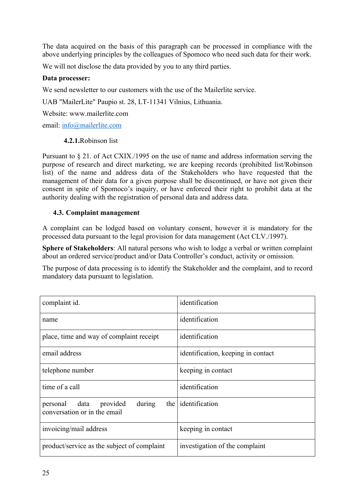The data acquired on the basis of this paragraph can be processed in compliance with the above underlying principles by the colleagues of Spomoco who need such data for their work.

We will not disclose the data provided by you to any third parties.

# **Data processer:**

We send newsletter to our customers with the use of the Mailerlite service.

UAB "MailerLite" Paupio st. 28, LT-11341 Vilnius, Lithuania.

Website: www.mailerlite.com

email: [info@mailerlite.com](mailto:info@mailerlite.com)

## **4.2.1.**Robinson list

Pursuant to § 21. of Act CXIX./1995 on the use of name and address information serving the purpose of research and direct marketing, we are keeping records (prohibited list/Robinson list) of the name and address data of the Stakeholders who have requested that the management of their data for a given purpose shall be discontinued, or have not given their consent in spite of Spomoco's inquiry, or have enforced their right to prohibit data at the authority dealing with the registration of personal data and address data.

# **4.3. Complaint management**

A complaint can be lodged based on voluntary consent, however it is mandatory for the processed data pursuant to the legal provision for data management (Act CLV./1997).

**Sphere of Stakeholders**: All natural persons who wish to lodge a verbal or written complaint about an ordered service/product and/or Data Controller's conduct, activity or omission.

The purpose of data processing is to identify the Stakeholder and the complaint, and to record mandatory data pursuant to legislation.

| complaint id.                                                    | identification                     |
|------------------------------------------------------------------|------------------------------------|
| name                                                             | identification                     |
| place, time and way of complaint receipt                         | identification                     |
| email address                                                    | identification, keeping in contact |
| telephone number                                                 | keeping in contact                 |
| time of a call                                                   | identification                     |
| personal data provided<br>during<br>conversation or in the email | the   identification               |
| invoicing/mail address                                           | keeping in contact                 |
| product/service as the subject of complaint                      | investigation of the complaint     |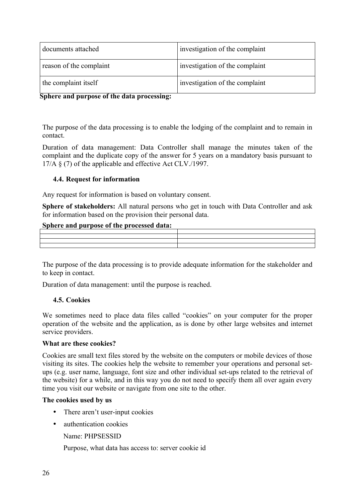| documents attached      | investigation of the complaint |
|-------------------------|--------------------------------|
| reason of the complaint | investigation of the complaint |
| the complaint itself    | investigation of the complaint |

**Sphere and purpose of the data processing:** 

The purpose of the data processing is to enable the lodging of the complaint and to remain in contact.

Duration of data management: Data Controller shall manage the minutes taken of the complaint and the duplicate copy of the answer for 5 years on a mandatory basis pursuant to 17/A § (7) of the applicable and effective Act CLV./1997.

## **4.4. Request for information**

Any request for information is based on voluntary consent.

**Sphere of stakeholders:** All natural persons who get in touch with Data Controller and ask for information based on the provision their personal data.

## **Sphere and purpose of the processed data:**

| _____ |  |  | . A series of the product of the product of the product of the series of the series of the series of the series of the series of the series of the series of the series of the series of the series of the series of the serie |
|-------|--|--|--------------------------------------------------------------------------------------------------------------------------------------------------------------------------------------------------------------------------------|
|       |  |  |                                                                                                                                                                                                                                |
|       |  |  |                                                                                                                                                                                                                                |
|       |  |  |                                                                                                                                                                                                                                |
|       |  |  |                                                                                                                                                                                                                                |
|       |  |  |                                                                                                                                                                                                                                |

The purpose of the data processing is to provide adequate information for the stakeholder and to keep in contact.

Duration of data management: until the purpose is reached.

#### **4.5. Cookies**

We sometimes need to place data files called "cookies" on your computer for the proper operation of the website and the application, as is done by other large websites and internet service providers.

#### **What are these cookies?**

Cookies are small text files stored by the website on the computers or mobile devices of those visiting its sites. The cookies help the website to remember your operations and personal setups (e.g. user name, language, font size and other individual set-ups related to the retrieval of the website) for a while, and in this way you do not need to specify them all over again every time you visit our website or navigate from one site to the other.

#### **The cookies used by us**

- There aren't user-input cookies
- authentication cookies

Name: PHPSESSID

Purpose, what data has access to: server cookie id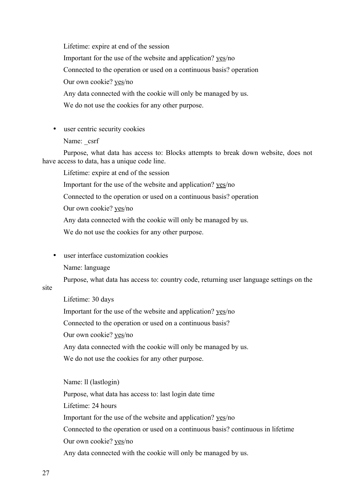Lifetime: expire at end of the session Important for the use of the website and application? yes/no Connected to the operation or used on a continuous basis? operation Our own cookie? yes/no Any data connected with the cookie will only be managed by us. We do not use the cookies for any other purpose.

- user centric security cookies
	- Name: csrf

Purpose, what data has access to: Blocks attempts to break down website, does not have access to data, has a unique code line.

Lifetime: expire at end of the session

Important for the use of the website and application? yes/no

Connected to the operation or used on a continuous basis? operation

Our own cookie? yes/no

Any data connected with the cookie will only be managed by us.

We do not use the cookies for any other purpose.

· user interface customization cookies

Name: language

Purpose, what data has access to: country code, returning user language settings on the

site

Lifetime: 30 days Important for the use of the website and application? yes/no Connected to the operation or used on a continuous basis? Our own cookie? yes/no Any data connected with the cookie will only be managed by us. We do not use the cookies for any other purpose.

Name: ll (lastlogin) Purpose, what data has access to: last login date time Lifetime: 24 hours Important for the use of the website and application? yes/no Connected to the operation or used on a continuous basis? continuous in lifetime Our own cookie? yes/no Any data connected with the cookie will only be managed by us.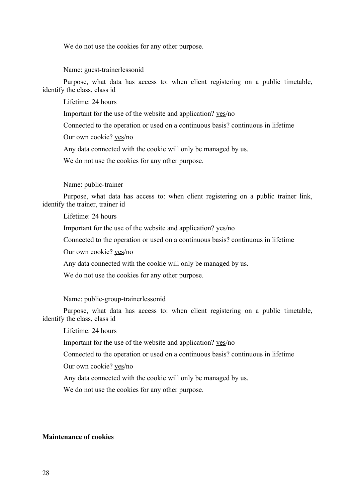We do not use the cookies for any other purpose.

Name: guest-trainerlessonid

Purpose, what data has access to: when client registering on a public timetable, identify the class, class id

Lifetime: 24 hours

Important for the use of the website and application? yes/no

Connected to the operation or used on a continuous basis? continuous in lifetime

Our own cookie? yes/no

Any data connected with the cookie will only be managed by us.

We do not use the cookies for any other purpose.

Name: public-trainer

Purpose, what data has access to: when client registering on a public trainer link, identify the trainer, trainer id

Lifetime: 24 hours

Important for the use of the website and application? yes/no

Connected to the operation or used on a continuous basis? continuous in lifetime

Our own cookie? yes/no

Any data connected with the cookie will only be managed by us.

We do not use the cookies for any other purpose.

Name: public-group-trainerlessonid

Purpose, what data has access to: when client registering on a public timetable, identify the class, class id

Lifetime: 24 hours

Important for the use of the website and application? yes/no

Connected to the operation or used on a continuous basis? continuous in lifetime

Our own cookie? yes/no

Any data connected with the cookie will only be managed by us.

We do not use the cookies for any other purpose.

#### **Maintenance of cookies**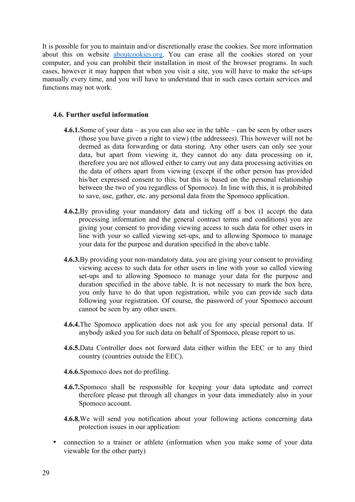It is possible for you to maintain and/or discretionally erase the cookies. See more information about this on website [aboutcookies.org.](http://www.aboutcookies.org/) You can erase all the cookies stored on your computer, and you can prohibit their installation in most of the browser programs. In such cases, however it may happen that when you visit a site, you will have to make the set-ups manually every time, and you will have to understand that in such cases certain services and functions may not work.

#### **4.6. Further useful information**

- **4.6.1.**Some of your data as you can also see in the table can be seen by other users (those you have given a right to view) (the addressees). This however will not be deemed as data forwarding or data storing. Any other users can only see your data, but apart from viewing it, they cannot do any data processing on it, therefore you are not allowed either to carry out any data processing activities on the data of others apart from viewing (except if the other person has provided his/her expressed consent to this, but this is based on the personal relationship between the two of you regardless of Spomoco). In line with this, it is prohibited to save, use, gather, etc. any personal data from the Spomoco application.
- **4.6.2.**By providing your mandatory data and ticking off a box (I accept the data processing information and the general contract terms and conditions) you are giving your consent to providing viewing access to such data for other users in line with your so called viewing set-ups, and to allowing Spomoco to manage your data for the purpose and duration specified in the above table.
- **4.6.3.**By providing your non-mandatory data, you are giving your consent to providing viewing access to such data for other users in line with your so called viewing set-ups and to allowing Spomoco to manage your data for the purpose and duration specified in the above table. It is not necessary to mark the box here, you only have to do that upon registration, while you can provide such data following your registration. Of course, the password of your Spomoco account cannot be seen by any other users.
- **4.6.4.**The Spomoco application does not ask you for any special personal data. If anybody asked you for such data on behalf of Spomoco, please report to us.
- **4.6.5.**Data Controller does not forward data either within the EEC or to any third country (countries outside the EEC).
- **4.6.6.**Spomoco does not do profiling.
- **4.6.7.**Spomoco shall be responsible for keeping your data uptodate and correct therefore please put through all changes in your data immediately also in your Spomoco account.
- **4.6.8.**We will send you notification about your following actions concerning data protection issues in our application:
- · connection to a trainer or athlete (information when you make some of your data viewable for the other party)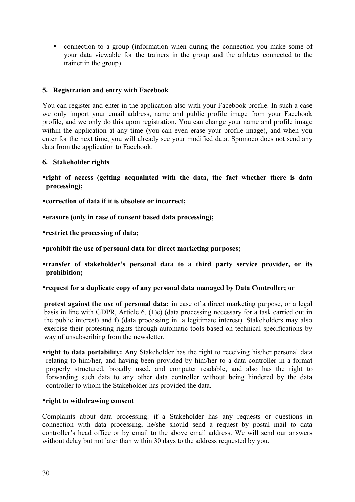· connection to a group (information when during the connection you make some of your data viewable for the trainers in the group and the athletes connected to the trainer in the group)

## **5. Registration and entry with Facebook**

You can register and enter in the application also with your Facebook profile. In such a case we only import your email address, name and public profile image from your Facebook profile, and we only do this upon registration. You can change your name and profile image within the application at any time (you can even erase your profile image), and when you enter for the next time, you will already see your modified data. Spomoco does not send any data from the application to Facebook.

## **6. Stakeholder rights**

- ·**right of access (getting acquainted with the data, the fact whether there is data processing);**
- ·**correction of data if it is obsolete or incorrect;**
- ·**erasure (only in case of consent based data processing);**
- ·**restrict the processing of data;**
- ·**prohibit the use of personal data for direct marketing purposes;**
- ·**transfer of stakeholder's personal data to a third party service provider, or its prohibition;**
- ·**request for a duplicate copy of any personal data managed by Data Controller; or**

**protest against the use of personal data:** in case of a direct marketing purpose, or a legal basis in line with GDPR, Article 6. (1)e) (data processing necessary for a task carried out in the public interest) and f) (data processing in a legitimate interest). Stakeholders may also exercise their protesting rights through automatic tools based on technical specifications by way of unsubscribing from the newsletter.

·**right to data portability:** Any Stakeholder has the right to receiving his/her personal data relating to him/her, and having been provided by him/her to a data controller in a format properly structured, broadly used, and computer readable, and also has the right to forwarding such data to any other data controller without being hindered by the data controller to whom the Stakeholder has provided the data.

# ·**right to withdrawing consent**

Complaints about data processing: if a Stakeholder has any requests or questions in connection with data processing, he/she should send a request by postal mail to data controller's head office or by email to the above email address. We will send our answers without delay but not later than within 30 days to the address requested by you.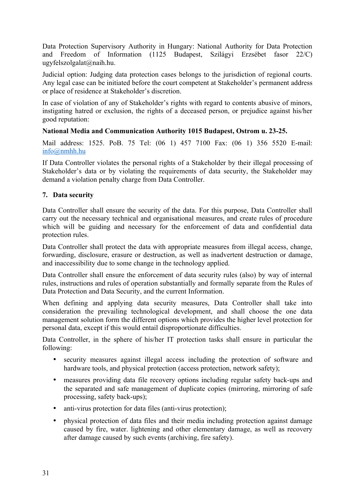Data Protection Supervisory Authority in Hungary: National Authority for Data Protection and Freedom of Information (1125 Budapest, Szilágyi Erzsébet fasor 22/C) [ugyfelszolgalat@naih.hu](mailto:ugyfelszolgalat@naih.hu).

Judicial option: Judging data protection cases belongs to the jurisdiction of regional courts. Any legal case can be initiated before the court competent at Stakeholder's permanent address or place of residence at Stakeholder's discretion.

In case of violation of any of Stakeholder's rights with regard to contents abusive of minors, instigating hatred or exclusion, the rights of a deceased person, or prejudice against his/her good reputation:

# **National Media and Communication Authority 1015 Budapest, Ostrom u. 23-25.**

Mail address: 1525. PoB. 75 Tel: (06 1) 457 7100 Fax: (06 1) 356 5520 E-mail[:](mailto:info@nmhh.hu) [info@nmhh.hu](mailto:info@nmhh.hu)

If Data Controller violates the personal rights of a Stakeholder by their illegal processing of Stakeholder's data or by violating the requirements of data security, the Stakeholder may demand a violation penalty charge from Data Controller.

# **7. Data security**

Data Controller shall ensure the security of the data. For this purpose, Data Controller shall carry out the necessary technical and organisational measures, and create rules of procedure which will be guiding and necessary for the enforcement of data and confidential data protection rules.

Data Controller shall protect the data with appropriate measures from illegal access, change, forwarding, disclosure, erasure or destruction, as well as inadvertent destruction or damage, and inaccessibility due to some change in the technology applied.

Data Controller shall ensure the enforcement of data security rules (also) by way of internal rules, instructions and rules of operation substantially and formally separate from the Rules of Data Protection and Data Security, and the current Information.

When defining and applying data security measures, Data Controller shall take into consideration the prevailing technological development, and shall choose the one data management solution form the different options which provides the higher level protection for personal data, except if this would entail disproportionate difficulties.

Data Controller, in the sphere of his/her IT protection tasks shall ensure in particular the following:

- · security measures against illegal access including the protection of software and hardware tools, and physical protection (access protection, network safety);
- · measures providing data file recovery options including regular safety back-ups and the separated and safe management of duplicate copies (mirroring, mirroring of safe processing, safety back-ups);
- anti-virus protection for data files (anti-virus protection);
- · physical protection of data files and their media including protection against damage caused by fire, water. lightening and other elementary damage, as well as recovery after damage caused by such events (archiving, fire safety).